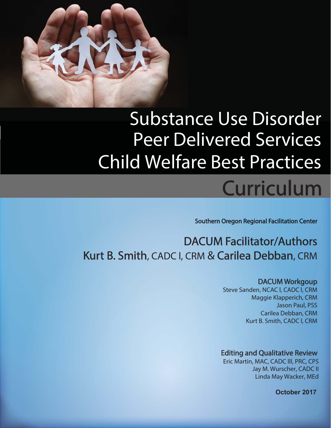

## Substance Use Disorder Peer Delivered Services Child Welfare Best Practices

# Curriculum

Southern Oregon Regional Facilitation Center

## DACUM Facilitator/Authors Kurt B. Smith, CADC I, CRM & Carilea Debban, CRM

#### DACUM Workgoup

Steve Sanden, NCAC l, CADC l, CRM Maggie Klapperich, CRM Jason Paul, PSS Carilea Debban, CRM Kurt B. Smith, CADC l, CRM

#### **Editing and Qualitative Review**

Eric Martin, MAC, CADC lll, PRC, CPS Jay M. Wurscher, CADC II Linda May Wacker, MEd

**October 2017**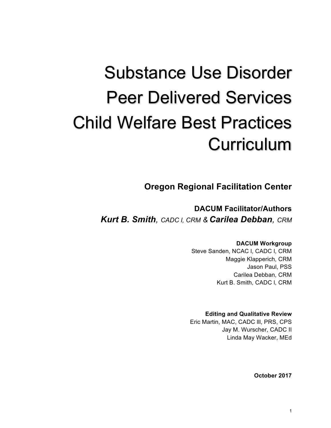# Substance Use Disorder Peer Delivered Services Child Welfare Best Practices **Curriculum**

**Oregon Regional Facilitation Center**

**DACUM Facilitator/Authors** *Kurt B. Smith, CADC l, CRM & Carilea Debban, CRM*

#### **DACUM Workgroup**

Steve Sanden, NCAC l, CADC l, CRM Maggie Klapperich, CRM Jason Paul, PSS Carilea Debban, CRM Kurt B. Smith, CADC l, CRM

#### **Editing and Qualitative Review**

Eric Martin, MAC, CADC lll, PRS, CPS Jay M. Wurscher, CADC II Linda May Wacker, MEd

**October 2017**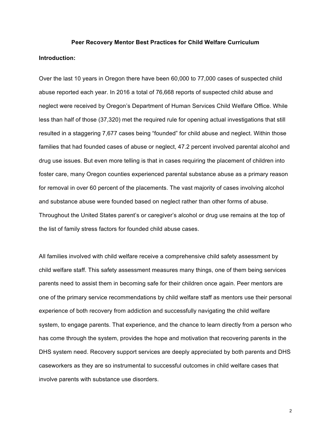### **Peer Recovery Mentor Best Practices for Child Welfare Curriculum**

#### **Introduction:**

Over the last 10 years in Oregon there have been 60,000 to 77,000 cases of suspected child abuse reported each year. In 2016 a total of 76,668 reports of suspected child abuse and neglect were received by Oregon's Department of Human Services Child Welfare Office. While less than half of those (37,320) met the required rule for opening actual investigations that still resulted in a staggering 7,677 cases being "founded" for child abuse and neglect. Within those families that had founded cases of abuse or neglect, 47.2 percent involved parental alcohol and drug use issues. But even more telling is that in cases requiring the placement of children into foster care, many Oregon counties experienced parental substance abuse as a primary reason for removal in over 60 percent of the placements. The vast majority of cases involving alcohol and substance abuse were founded based on neglect rather than other forms of abuse. Throughout the United States parent's or caregiver's alcohol or drug use remains at the top of the list of family stress factors for founded child abuse cases.

All families involved with child welfare receive a comprehensive child safety assessment by child welfare staff. This safety assessment measures many things, one of them being services parents need to assist them in becoming safe for their children once again. Peer mentors are one of the primary service recommendations by child welfare staff as mentors use their personal experience of both recovery from addiction and successfully navigating the child welfare system, to engage parents. That experience, and the chance to learn directly from a person who has come through the system, provides the hope and motivation that recovering parents in the DHS system need. Recovery support services are deeply appreciated by both parents and DHS caseworkers as they are so instrumental to successful outcomes in child welfare cases that involve parents with substance use disorders.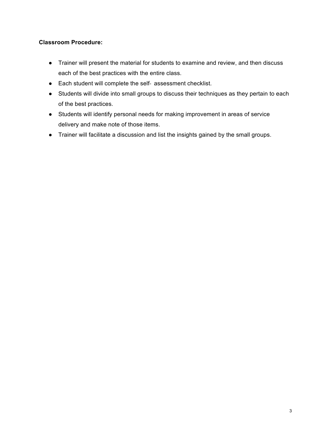#### **Classroom Procedure:**

- Trainer will present the material for students to examine and review, and then discuss each of the best practices with the entire class.
- Each student will complete the self- assessment checklist.
- Students will divide into small groups to discuss their techniques as they pertain to each of the best practices.
- Students will identify personal needs for making improvement in areas of service delivery and make note of those items.
- Trainer will facilitate a discussion and list the insights gained by the small groups.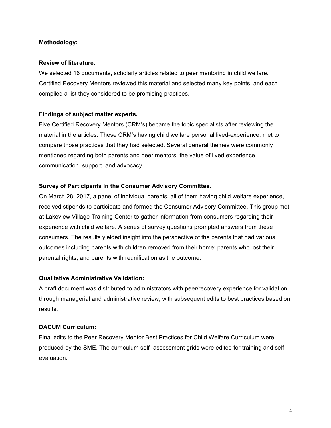#### **Methodology:**

#### **Review of literature.**

We selected 16 documents, scholarly articles related to peer mentoring in child welfare. Certified Recovery Mentors reviewed this material and selected many key points, and each compiled a list they considered to be promising practices.

#### **Findings of subject matter experts.**

Five Certified Recovery Mentors (CRM's) became the topic specialists after reviewing the material in the articles. These CRM's having child welfare personal lived-experience, met to compare those practices that they had selected. Several general themes were commonly mentioned regarding both parents and peer mentors; the value of lived experience, communication, support, and advocacy.

#### **Survey of Participants in the Consumer Advisory Committee.**

On March 28, 2017, a panel of individual parents, all of them having child welfare experience, received stipends to participate and formed the Consumer Advisory Committee. This group met at Lakeview Village Training Center to gather information from consumers regarding their experience with child welfare. A series of survey questions prompted answers from these consumers. The results yielded insight into the perspective of the parents that had various outcomes including parents with children removed from their home; parents who lost their parental rights; and parents with reunification as the outcome.

#### **Qualitative Administrative Validation:**

A draft document was distributed to administrators with peer/recovery experience for validation through managerial and administrative review, with subsequent edits to best practices based on results.

#### **DACUM Curriculum:**

Final edits to the Peer Recovery Mentor Best Practices for Child Welfare Curriculum were produced by the SME. The curriculum self- assessment grids were edited for training and selfevaluation.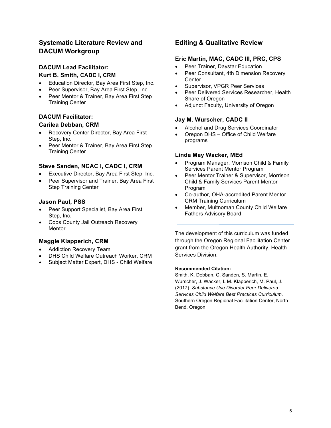#### **Systematic Literature Review and DACUM Workgroup**

#### **DACUM Lead Facilitator: Kurt B. Smith, CADC I, CRM**

- Education Director, Bay Area First Step, Inc.
- Peer Supervisor, Bay Area First Step, Inc.
- Peer Mentor & Trainer, Bay Area First Step Training Center

#### **DACUM Facilitator:**

#### **Carilea Debban, CRM**

- Recovery Center Director, Bay Area First Step, Inc.
- Peer Mentor & Trainer, Bay Area First Step Training Center

#### **Steve Sanden, NCAC I, CADC I, CRM**

- Executive Director, Bay Area First Step, Inc.
- Peer Supervisor and Trainer, Bay Area First Step Training Center

#### **Jason Paul, PSS**

- Peer Support Specialist, Bay Area First Step, Inc.
- Coos County Jail Outreach Recovery **Mentor**

#### **Maggie Klapperich, CRM**

- Addiction Recovery Team
- DHS Child Welfare Outreach Worker, CRM
- Subject Matter Expert, DHS Child Welfare

#### **Editing & Qualitative Review**

#### **Eric Martin, MAC, CADC III, PRC, CPS**

- Peer Trainer, Daystar Education
- Peer Consultant, 4th Dimension Recovery **Center**
- Supervisor, VPGR Peer Services
- Peer Delivered Services Researcher, Health Share of Oregon
- Adjunct Faculty, University of Oregon

#### **Jay M. Wurscher, CADC II**

- Alcohol and Drug Services Coordinator
- Oregon DHS Office of Child Welfare programs

#### **Linda May Wacker, MEd**

- Program Manager, Morrison Child & Family Services Parent Mentor Program
- Peer Mentor Trainer & Supervisor, Morrison Child & Family Services Parent Mentor Program
- Co-author, OHA-accredited Parent Mentor CRM Training Curriculum
- Member, Multnomah County Child Welfare Fathers Advisory Board

The development of this curriculum was funded through the Oregon Regional Facilitation Center grant from the Oregon Health Authority, Health Services Division.

#### **Recommended Citation:**

Smith, K. Debban, C. Sanden, S. Martin, E. Wurscher, J. Wacker, L M. Klapperich, M. Paul, J. (2017). *Substance Use Disorder Peer Delivered Services Child Welfare Best Practices Curriculum*. Southern Oregon Regional Facilitation Center, North Bend, Oregon.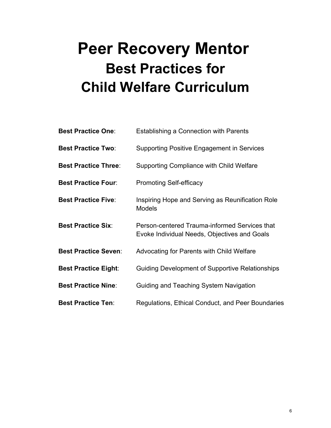## **Peer Recovery Mentor Best Practices for Child Welfare Curriculum**

| <b>Best Practice One:</b>   | Establishing a Connection with Parents                                                        |
|-----------------------------|-----------------------------------------------------------------------------------------------|
| <b>Best Practice Two:</b>   | <b>Supporting Positive Engagement in Services</b>                                             |
| <b>Best Practice Three:</b> | Supporting Compliance with Child Welfare                                                      |
| <b>Best Practice Four:</b>  | <b>Promoting Self-efficacy</b>                                                                |
| <b>Best Practice Five:</b>  | Inspiring Hope and Serving as Reunification Role<br><b>Models</b>                             |
| <b>Best Practice Six:</b>   | Person-centered Trauma-informed Services that<br>Evoke Individual Needs, Objectives and Goals |
| <b>Best Practice Seven:</b> | Advocating for Parents with Child Welfare                                                     |
| <b>Best Practice Eight:</b> | <b>Guiding Development of Supportive Relationships</b>                                        |
| <b>Best Practice Nine:</b>  | Guiding and Teaching System Navigation                                                        |
| <b>Best Practice Ten:</b>   | Regulations, Ethical Conduct, and Peer Boundaries                                             |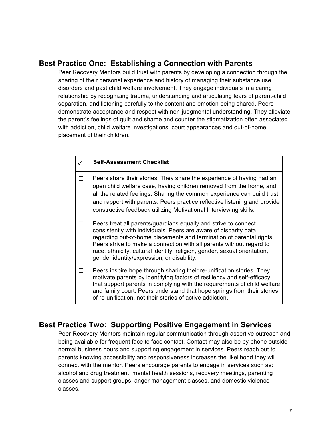### **Best Practice One: Establishing a Connection with Parents**

Peer Recovery Mentors build trust with parents by developing a connection through the sharing of their personal experience and history of managing their substance use disorders and past child welfare involvement. They engage individuals in a caring relationship by recognizing trauma, understanding and articulating fears of parent-child separation, and listening carefully to the content and emotion being shared. Peers demonstrate acceptance and respect with non-judgmental understanding. They alleviate the parent's feelings of guilt and shame and counter the stigmatization often associated with addiction, child welfare investigations, court appearances and out-of-home placement of their children.

| <b>Self-Assessment Checklist</b>                                                                                                                                                                                                                                                                                                                                                                               |
|----------------------------------------------------------------------------------------------------------------------------------------------------------------------------------------------------------------------------------------------------------------------------------------------------------------------------------------------------------------------------------------------------------------|
| Peers share their stories. They share the experience of having had an<br>open child welfare case, having children removed from the home, and<br>all the related feelings. Sharing the common experience can build trust<br>and rapport with parents. Peers practice reflective listening and provide<br>constructive feedback utilizing Motivational Interviewing skills.                                      |
| Peers treat all parents/guardians equally and strive to connect<br>consistently with individuals. Peers are aware of disparity data<br>regarding out-of-home placements and termination of parental rights.<br>Peers strive to make a connection with all parents without regard to<br>race, ethnicity, cultural identity, religion, gender, sexual orientation,<br>gender identity/expression, or disability. |
| Peers inspire hope through sharing their re-unification stories. They<br>motivate parents by identifying factors of resiliency and self-efficacy<br>that support parents in complying with the requirements of child welfare<br>and family court. Peers understand that hope springs from their stories<br>of re-unification, not their stories of active addiction.                                           |

## **Best Practice Two: Supporting Positive Engagement in Services**

Peer Recovery Mentors maintain regular communication through assertive outreach and being available for frequent face to face contact. Contact may also be by phone outside normal business hours and supporting engagement in services. Peers reach out to parents knowing accessibility and responsiveness increases the likelihood they will connect with the mentor. Peers encourage parents to engage in services such as: alcohol and drug treatment, mental health sessions, recovery meetings, parenting classes and support groups, anger management classes, and domestic violence classes.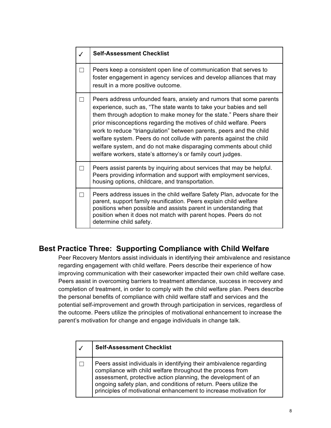| <b>Self-Assessment Checklist</b>                                                                                                                                                                                                                                                                                                                                                                                                                                                                                                                                          |
|---------------------------------------------------------------------------------------------------------------------------------------------------------------------------------------------------------------------------------------------------------------------------------------------------------------------------------------------------------------------------------------------------------------------------------------------------------------------------------------------------------------------------------------------------------------------------|
| Peers keep a consistent open line of communication that serves to<br>foster engagement in agency services and develop alliances that may<br>result in a more positive outcome.                                                                                                                                                                                                                                                                                                                                                                                            |
| Peers address unfounded fears, anxiety and rumors that some parents<br>experience, such as, "The state wants to take your babies and sell<br>them through adoption to make money for the state." Peers share their<br>prior misconceptions regarding the motives of child welfare. Peers<br>work to reduce "triangulation" between parents, peers and the child<br>welfare system. Peers do not collude with parents against the child<br>welfare system, and do not make disparaging comments about child<br>welfare workers, state's attorney's or family court judges. |
| Peers assist parents by inquiring about services that may be helpful.<br>Peers providing information and support with employment services,<br>housing options, childcare, and transportation.                                                                                                                                                                                                                                                                                                                                                                             |
| Peers address issues in the child welfare Safety Plan, advocate for the<br>parent, support family reunification. Peers explain child welfare<br>positions when possible and assists parent in understanding that<br>position when it does not match with parent hopes. Peers do not<br>determine child safety.                                                                                                                                                                                                                                                            |

## **Best Practice Three: Supporting Compliance with Child Welfare**

Peer Recovery Mentors assist individuals in identifying their ambivalence and resistance regarding engagement with child welfare. Peers describe their experience of how improving communication with their caseworker impacted their own child welfare case. Peers assist in overcoming barriers to treatment attendance, success in recovery and completion of treatment, in order to comply with the child welfare plan. Peers describe the personal benefits of compliance with child welfare staff and services and the potential self-improvement and growth through participation in services, regardless of the outcome. Peers utilize the principles of motivational enhancement to increase the parent's motivation for change and engage individuals in change talk.

| <b>Self-Assessment Checklist</b>                                                                                                                                                                                                                                                                                                           |
|--------------------------------------------------------------------------------------------------------------------------------------------------------------------------------------------------------------------------------------------------------------------------------------------------------------------------------------------|
| Peers assist individuals in identifying their ambivalence regarding<br>compliance with child welfare throughout the process from<br>assessment, protective action planning, the development of an<br>ongoing safety plan, and conditions of return. Peers utilize the<br>principles of motivational enhancement to increase motivation for |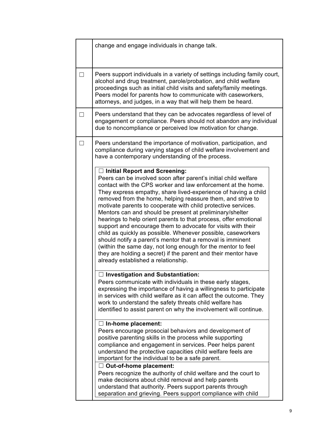| change and engage individuals in change talk.                                                                                                                                                                                                                                                                                                                                                                                                                                                                                                                                                                                                                                                                                                                                                                                                                                    |  |
|----------------------------------------------------------------------------------------------------------------------------------------------------------------------------------------------------------------------------------------------------------------------------------------------------------------------------------------------------------------------------------------------------------------------------------------------------------------------------------------------------------------------------------------------------------------------------------------------------------------------------------------------------------------------------------------------------------------------------------------------------------------------------------------------------------------------------------------------------------------------------------|--|
| Peers support individuals in a variety of settings including family court,<br>alcohol and drug treatment, parole/probation, and child welfare<br>proceedings such as initial child visits and safety/family meetings.<br>Peers model for parents how to communicate with caseworkers,<br>attorneys, and judges, in a way that will help them be heard.                                                                                                                                                                                                                                                                                                                                                                                                                                                                                                                           |  |
| Peers understand that they can be advocates regardless of level of<br>engagement or compliance. Peers should not abandon any individual<br>due to noncompliance or perceived low motivation for change.                                                                                                                                                                                                                                                                                                                                                                                                                                                                                                                                                                                                                                                                          |  |
| Peers understand the importance of motivation, participation, and<br>compliance during varying stages of child welfare involvement and<br>have a contemporary understanding of the process.                                                                                                                                                                                                                                                                                                                                                                                                                                                                                                                                                                                                                                                                                      |  |
| $\Box$ Initial Report and Screening:<br>Peers can be involved soon after parent's initial child welfare<br>contact with the CPS worker and law enforcement at the home.<br>They express empathy, share lived-experience of having a child<br>removed from the home, helping reassure them, and strive to<br>motivate parents to cooperate with child protective services.<br>Mentors can and should be present at preliminary/shelter<br>hearings to help orient parents to that process, offer emotional<br>support and encourage them to advocate for visits with their<br>child as quickly as possible. Whenever possible, caseworkers<br>should notify a parent's mentor that a removal is imminent<br>(within the same day, not long enough for the mentor to feel<br>they are holding a secret) if the parent and their mentor have<br>already established a relationship. |  |
| □ Investigation and Substantiation:<br>Peers communicate with individuals in these early stages,<br>expressing the importance of having a willingness to participate<br>in services with child welfare as it can affect the outcome. They<br>work to understand the safety threats child welfare has<br>identified to assist parent on why the involvement will continue.                                                                                                                                                                                                                                                                                                                                                                                                                                                                                                        |  |
| $\Box$ In-home placement:<br>Peers encourage prosocial behaviors and development of<br>positive parenting skills in the process while supporting<br>compliance and engagement in services. Peer helps parent<br>understand the protective capacities child welfare feels are<br>important for the individual to be a safe parent.                                                                                                                                                                                                                                                                                                                                                                                                                                                                                                                                                |  |
| $\Box$ Out-of-home placement:<br>Peers recognize the authority of child welfare and the court to<br>make decisions about child removal and help parents<br>understand that authority. Peers support parents through<br>separation and grieving. Peers support compliance with child                                                                                                                                                                                                                                                                                                                                                                                                                                                                                                                                                                                              |  |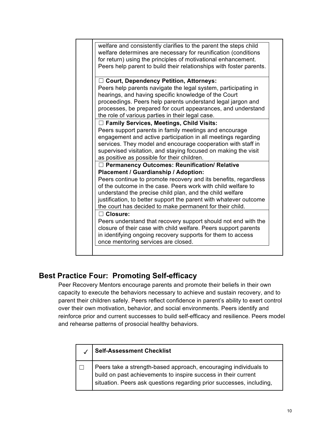| welfare and consistently clarifies to the parent the steps child<br>welfare determines are necessary for reunification (conditions<br>for return) using the principles of motivational enhancement.<br>Peers help parent to build their relationships with foster parents.                                                                                                                                                                       |
|--------------------------------------------------------------------------------------------------------------------------------------------------------------------------------------------------------------------------------------------------------------------------------------------------------------------------------------------------------------------------------------------------------------------------------------------------|
| $\Box$ Court, Dependency Petition, Attorneys:<br>Peers help parents navigate the legal system, participating in<br>hearings, and having specific knowledge of the Court<br>proceedings. Peers help parents understand legal jargon and<br>processes, be prepared for court appearances, and understand<br>the role of various parties in their legal case.                                                                                       |
| $\Box$ Family Services, Meetings, Child Visits:<br>Peers support parents in family meetings and encourage<br>engagement and active participation in all meetings regarding<br>services. They model and encourage cooperation with staff in<br>supervised visitation, and staying focused on making the visit<br>as positive as possible for their children.                                                                                      |
| □ Permanency Outcomes: Reunification/ Relative<br><b>Placement / Guardianship / Adoption:</b><br>Peers continue to promote recovery and its benefits, regardless<br>of the outcome in the case. Peers work with child welfare to<br>understand the precise child plan, and the child welfare<br>justification, to better support the parent with whatever outcome<br>the court has decided to make permanent for their child.<br>$\Box$ Closure: |
| Peers understand that recovery support should not end with the<br>closure of their case with child welfare. Peers support parents<br>in identifying ongoing recovery supports for them to access<br>once mentoring services are closed.                                                                                                                                                                                                          |

## **Best Practice Four: Promoting Self-efficacy**

Peer Recovery Mentors encourage parents and promote their beliefs in their own capacity to execute the behaviors necessary to achieve and sustain recovery, and to parent their children safely. Peers reflect confidence in parent's ability to exert control over their own motivation, behavior, and social environments. Peers identify and reinforce prior and current successes to build self-efficacy and resilience. Peers model and rehearse patterns of prosocial healthy behaviors.

| <b>Self-Assessment Checklist</b>                                                                                                                                                                           |
|------------------------------------------------------------------------------------------------------------------------------------------------------------------------------------------------------------|
| Peers take a strength-based approach, encouraging individuals to<br>build on past achievements to inspire success in their current<br>situation. Peers ask questions regarding prior successes, including, |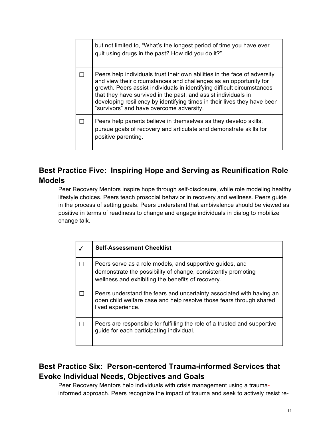| but not limited to, "What's the longest period of time you have ever<br>quit using drugs in the past? How did you do it?"                                                                                                                                                                                                                                                                                           |
|---------------------------------------------------------------------------------------------------------------------------------------------------------------------------------------------------------------------------------------------------------------------------------------------------------------------------------------------------------------------------------------------------------------------|
| Peers help individuals trust their own abilities in the face of adversity<br>and view their circumstances and challenges as an opportunity for<br>growth. Peers assist individuals in identifying difficult circumstances<br>that they have survived in the past, and assist individuals in<br>developing resiliency by identifying times in their lives they have been<br>"survivors" and have overcome adversity. |
| Peers help parents believe in themselves as they develop skills,<br>pursue goals of recovery and articulate and demonstrate skills for<br>positive parenting.                                                                                                                                                                                                                                                       |

## **Best Practice Five: Inspiring Hope and Serving as Reunification Role Models**

Peer Recovery Mentors inspire hope through self-disclosure, while role modeling healthy lifestyle choices. Peers teach prosocial behavior in recovery and wellness. Peers guide in the process of setting goals. Peers understand that ambivalence should be viewed as positive in terms of readiness to change and engage individuals in dialog to mobilize change talk.

| <b>Self-Assessment Checklist</b>                                                                                                                                               |
|--------------------------------------------------------------------------------------------------------------------------------------------------------------------------------|
| Peers serve as a role models, and supportive guides, and<br>demonstrate the possibility of change, consistently promoting<br>wellness and exhibiting the benefits of recovery. |
| Peers understand the fears and uncertainty associated with having an<br>open child welfare case and help resolve those fears through shared<br>lived experience.               |
| Peers are responsible for fulfilling the role of a trusted and supportive<br>guide for each participating individual.                                                          |

## **Best Practice Six: Person-centered Trauma-informed Services that Evoke Individual Needs, Objectives and Goals**

Peer Recovery Mentors help individuals with crisis management using a traumainformed approach. Peers recognize the impact of trauma and seek to actively resist re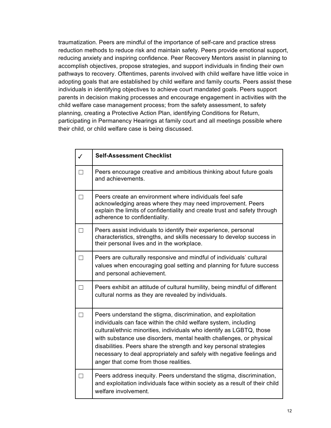traumatization. Peers are mindful of the importance of self-care and practice stress reduction methods to reduce risk and maintain safety. Peers provide emotional support, reducing anxiety and inspiring confidence. Peer Recovery Mentors assist in planning to accomplish objectives, propose strategies, and support individuals in finding their own pathways to recovery. Oftentimes, parents involved with child welfare have little voice in adopting goals that are established by child welfare and family courts. Peers assist these individuals in identifying objectives to achieve court mandated goals. Peers support parents in decision making processes and encourage engagement in activities with the child welfare case management process; from the safety assessment, to safety planning, creating a Protective Action Plan, identifying Conditions for Return, participating in Permanency Hearings at family court and all meetings possible where their child, or child welfare case is being discussed.

| $\checkmark$ | <b>Self-Assessment Checklist</b>                                                                                                                                                                                                                                                                                                                                                                                                                                        |
|--------------|-------------------------------------------------------------------------------------------------------------------------------------------------------------------------------------------------------------------------------------------------------------------------------------------------------------------------------------------------------------------------------------------------------------------------------------------------------------------------|
|              | Peers encourage creative and ambitious thinking about future goals<br>and achievements.                                                                                                                                                                                                                                                                                                                                                                                 |
| П            | Peers create an environment where individuals feel safe<br>acknowledging areas where they may need improvement. Peers<br>explain the limits of confidentiality and create trust and safety through<br>adherence to confidentiality.                                                                                                                                                                                                                                     |
| $\Box$       | Peers assist individuals to identify their experience, personal<br>characteristics, strengths, and skills necessary to develop success in<br>their personal lives and in the workplace.                                                                                                                                                                                                                                                                                 |
|              | Peers are culturally responsive and mindful of individuals' cultural<br>values when encouraging goal setting and planning for future success<br>and personal achievement.                                                                                                                                                                                                                                                                                               |
| П            | Peers exhibit an attitude of cultural humility, being mindful of different<br>cultural norms as they are revealed by individuals.                                                                                                                                                                                                                                                                                                                                       |
|              | Peers understand the stigma, discrimination, and exploitation<br>individuals can face within the child welfare system, including<br>cultural/ethnic minorities, individuals who identify as LGBTQ, those<br>with substance use disorders, mental health challenges, or physical<br>disabilities. Peers share the strength and key personal strategies<br>necessary to deal appropriately and safely with negative feelings and<br>anger that come from those realities. |
|              | Peers address inequity. Peers understand the stigma, discrimination,<br>and exploitation individuals face within society as a result of their child<br>welfare involvement.                                                                                                                                                                                                                                                                                             |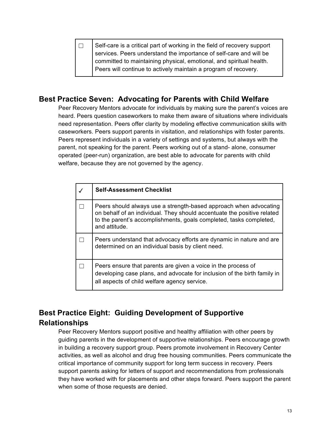$\Box$  Self-care is a critical part of working in the field of recovery support services. Peers understand the importance of self-care and will be committed to maintaining physical, emotional, and spiritual health. Peers will continue to actively maintain a program of recovery.

## **Best Practice Seven: Advocating for Parents with Child Welfare**

Peer Recovery Mentors advocate for individuals by making sure the parent's voices are heard. Peers question caseworkers to make them aware of situations where individuals need representation. Peers offer clarity by modeling effective communication skills with caseworkers. Peers support parents in visitation, and relationships with foster parents. Peers represent individuals in a variety of settings and systems, but always with the parent, not speaking for the parent. Peers working out of a stand- alone, consumer operated (peer-run) organization, are best able to advocate for parents with child welfare, because they are not governed by the agency.

| <b>Self-Assessment Checklist</b>                                                                                                                                                                                                    |
|-------------------------------------------------------------------------------------------------------------------------------------------------------------------------------------------------------------------------------------|
| Peers should always use a strength-based approach when advocating<br>on behalf of an individual. They should accentuate the positive related<br>to the parent's accomplishments, goals completed, tasks completed,<br>and attitude. |
| Peers understand that advocacy efforts are dynamic in nature and are<br>determined on an individual basis by client need.                                                                                                           |
| Peers ensure that parents are given a voice in the process of<br>developing case plans, and advocate for inclusion of the birth family in<br>all aspects of child welfare agency service.                                           |

## **Best Practice Eight: Guiding Development of Supportive Relationships**

Peer Recovery Mentors support positive and healthy affiliation with other peers by guiding parents in the development of supportive relationships. Peers encourage growth in building a recovery support group. Peers promote involvement in Recovery Center activities, as well as alcohol and drug free housing communities. Peers communicate the critical importance of community support for long term success in recovery. Peers support parents asking for letters of support and recommendations from professionals they have worked with for placements and other steps forward. Peers support the parent when some of those requests are denied.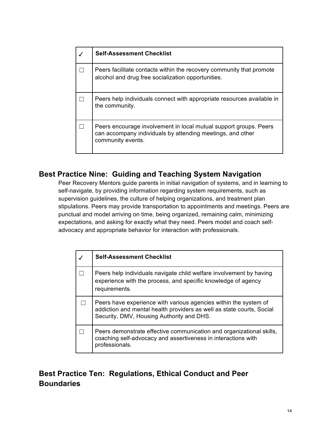| <b>Self-Assessment Checklist</b>                                                                                                                     |
|------------------------------------------------------------------------------------------------------------------------------------------------------|
| Peers facilitate contacts within the recovery community that promote<br>alcohol and drug free socialization opportunities.                           |
| Peers help individuals connect with appropriate resources available in<br>the community.                                                             |
| Peers encourage involvement in local mutual support groups. Peers<br>can accompany individuals by attending meetings, and other<br>community events. |

## **Best Practice Nine: Guiding and Teaching System Navigation**

Peer Recovery Mentors guide parents in initial navigation of systems, and in learning to self-navigate, by providing information regarding system requirements, such as supervision guidelines, the culture of helping organizations, and treatment plan stipulations. Peers may provide transportation to appointments and meetings. Peers are punctual and model arriving on time, being organized, remaining calm, minimizing expectations, and asking for exactly what they need. Peers model and coach selfadvocacy and appropriate behavior for interaction with professionals.

| <b>Self-Assessment Checklist</b>                                                                                                                                                       |
|----------------------------------------------------------------------------------------------------------------------------------------------------------------------------------------|
| Peers help individuals navigate child welfare involvement by having<br>experience with the process, and specific knowledge of agency<br>requirements.                                  |
| Peers have experience with various agencies within the system of<br>addiction and mental health providers as well as state courts, Social<br>Security, DMV, Housing Authority and DHS. |
| Peers demonstrate effective communication and organizational skills,<br>coaching self-advocacy and assertiveness in interactions with<br>professionals.                                |

## **Best Practice Ten: Regulations, Ethical Conduct and Peer Boundaries**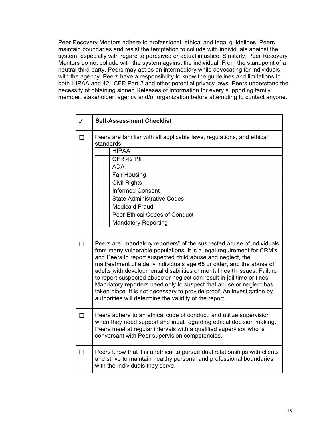Peer Recovery Mentors adhere to professional, ethical and legal guidelines. Peers maintain boundaries and resist the temptation to collude with individuals against the system, especially with regard to perceived or actual injustice. Similarly, Peer Recovery Mentors do not collude with the system against the individual. From the standpoint of a neutral third party, Peers may act as an intermediary while advocating for individuals with the agency. Peers have a responsibility to know the guidelines and limitations to both HIPAA and 42- CFR Part 2 and other potential privacy laws. Peers understand the necessity of obtaining signed Releases of Information for every supporting family member, stakeholder, agency and/or organization before attempting to contact anyone.

|   | <b>Self-Assessment Checklist</b>                                                                                                                                                                                                                                                                                                                                                                                                                                                                                                                                                                                                                     |
|---|------------------------------------------------------------------------------------------------------------------------------------------------------------------------------------------------------------------------------------------------------------------------------------------------------------------------------------------------------------------------------------------------------------------------------------------------------------------------------------------------------------------------------------------------------------------------------------------------------------------------------------------------------|
|   | Peers are familiar with all applicable laws, regulations, and ethical<br>standards:                                                                                                                                                                                                                                                                                                                                                                                                                                                                                                                                                                  |
|   | <b>HIPAA</b>                                                                                                                                                                                                                                                                                                                                                                                                                                                                                                                                                                                                                                         |
|   | CFR 42 PII                                                                                                                                                                                                                                                                                                                                                                                                                                                                                                                                                                                                                                           |
|   | <b>ADA</b><br>П                                                                                                                                                                                                                                                                                                                                                                                                                                                                                                                                                                                                                                      |
|   | Fair Housing                                                                                                                                                                                                                                                                                                                                                                                                                                                                                                                                                                                                                                         |
|   | <b>Civil Rights</b>                                                                                                                                                                                                                                                                                                                                                                                                                                                                                                                                                                                                                                  |
|   | <b>Informed Consent</b>                                                                                                                                                                                                                                                                                                                                                                                                                                                                                                                                                                                                                              |
|   | State Administrative Codes<br>П                                                                                                                                                                                                                                                                                                                                                                                                                                                                                                                                                                                                                      |
|   | <b>Medicaid Fraud</b><br>П                                                                                                                                                                                                                                                                                                                                                                                                                                                                                                                                                                                                                           |
|   | Peer Ethical Codes of Conduct                                                                                                                                                                                                                                                                                                                                                                                                                                                                                                                                                                                                                        |
|   | <b>Mandatory Reporting</b>                                                                                                                                                                                                                                                                                                                                                                                                                                                                                                                                                                                                                           |
|   |                                                                                                                                                                                                                                                                                                                                                                                                                                                                                                                                                                                                                                                      |
| П | Peers are "mandatory reporters" of the suspected abuse of individuals<br>from many vulnerable populations. It is a legal requirement for CRM's<br>and Peers to report suspected child abuse and neglect, the<br>maltreatment of elderly individuals age 65 or older, and the abuse of<br>adults with developmental disabilities or mental health issues. Failure<br>to report suspected abuse or neglect can result in jail time or fines.<br>Mandatory reporters need only to suspect that abuse or neglect has<br>taken place. It is not necessary to provide proof. An investigation by<br>authorities will determine the validity of the report. |
| П | Peers adhere to an ethical code of conduct, and utilize supervision<br>when they need support and input regarding ethical decision making.<br>Peers meet at regular intervals with a qualified supervisor who is<br>conversant with Peer supervision competencies.                                                                                                                                                                                                                                                                                                                                                                                   |
|   | Peers know that it is unethical to pursue dual relationships with clients<br>and strive to maintain healthy personal and professional boundaries<br>with the individuals they serve.                                                                                                                                                                                                                                                                                                                                                                                                                                                                 |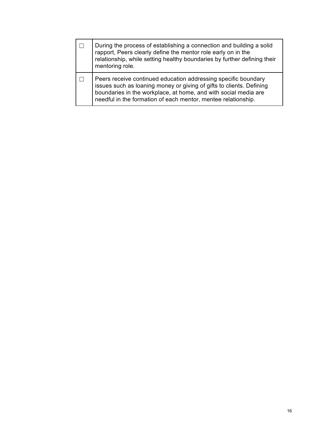| During the process of establishing a connection and building a solid<br>rapport, Peers clearly define the mentor role early on in the<br>relationship, while setting healthy boundaries by further defining their<br>mentoring role.                                       |
|----------------------------------------------------------------------------------------------------------------------------------------------------------------------------------------------------------------------------------------------------------------------------|
| Peers receive continued education addressing specific boundary<br>issues such as loaning money or giving of gifts to clients. Defining<br>boundaries in the workplace, at home, and with social media are<br>needful in the formation of each mentor, mentee relationship. |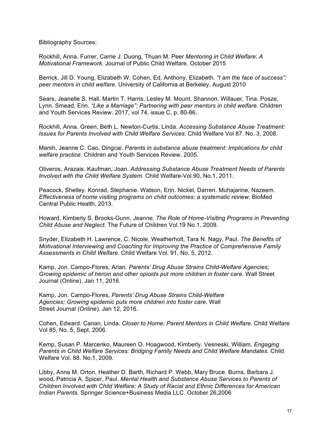Bibliography Sources:

Rockhill, Anna. Furrer, Carrie J. Duong, Thuan M. Peer *Mentoring in Child Welfare: A Motivational Framework.* Journal of Public Child Welfare. October 2015

Berrick, Jill D. Young, Elizabeth W. Cohen, Ed. Anthony, Elizabeth. *"I am the face of success": peer mentors in child welfare*. University of California at Berkeley. August 2010

Sears, Jeanelle S. Hall, Martin T. Harris, Lesley M. Mount, Shannon. Willauer, Tina. Posze, Lynn. Smead, Erin. *"Like a Marriage": Partnering with peer mentors in child welfare.* Children and Youth Services Review. 2017, vol 74, issue C, p. 80-86.

Rockhill, Anna. Green, Beth L. Newton-Curtis, Linda. *Accessing Substance Abuse Treatment: Issues for Parents Involved with Child Welfare Services.* Child Welfare Vol 87. No. 3, 2008.

Marsh, Jeanne C. Cao, Dingcai. *Parents in substance abuse treatment: Implications for child welfare practice.* Children and Youth Services Review, 2005.

Oliveros, Arazais. Kaufman, Joan. *Addressing Substance Abuse Treatment Needs of Parents Involved with the Child Welfare System.* Child Welfare-Vol.90, No.1, 2011.

Peacock, Shelley. Konrad, Stephanie. Watson, Erin. Nickel, Darren. Muhajarine, Nazeem. *Effectiveness of home visiting programs on child outcomes: a systematic review.* BioMed Central Public Health, 2013.

Howard, Kimberly S. Brooks-Gunn, *Jeanne. The Role of Home-Visiting Programs in Preventing Child Abuse and Neglect.* The Future of Children Vol.19 No.1, 2009.

Snyder, Elizabeth H. Lawrence, C. Nicole. Weatherholt, Tara N. Nagy, Paul. *The Benefits of Motivational Interviewing and Coaching for Improving the Practice of Comprehensive Family Assessments in Child Welfare.* Child Welfare Vol. 91, No. 5, 2012.

Kamp, Jon. Campo-Flores, Arian. *Parents' Drug Abuse Strains Child-Welfare Agencies; Growing epidemic of heroin and other opioids put more children in foster care.* Wall Street Journal (Online). Jan 11, 2016.

Kamp, Jon. Campo-Flores, *Parents' Drug Abuse Strains Child-Welfare Agencies; Growing epidemic puts more children into foster care.* Wall Street Journal (Online). Jan 12, 2016.

Cohen, Edward. Canan, Linda. *Closer to Home: Parent Mentors in Child Welfare.* Child Welfare Vol 85, No. 5, Sept. 2006.

Kemp, Susan P. Marcenko, Maureen O. Hoagwood, Kimberly. Vesneski, William. *Engaging Parents in Child Welfare Services: Bridging Family Needs and Child Welfare Mandates.* Child Welfare Vol. 88. No.1, 2009.

Libby, Anne M. Orton, Heather D. Barth, Richard P. Webb, Mary Bruce. Burns, Barbara J. wood, Patricia A. Spicer, Paul. *Mental Health and Substance Abuse Services to Parents of Children Involved with Child Welfare: A Study of Racial and Ethnic Differences for American Indian Parents.* Springer Science+Business Media LLC. October 26,2006